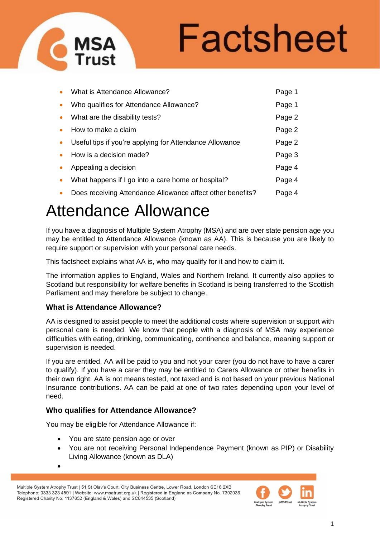

# Factsheet

| What is Attendance Allowance?                              | Page 1 |
|------------------------------------------------------------|--------|
| Who qualifies for Attendance Allowance?                    | Page 1 |
| What are the disability tests?                             | Page 2 |
| How to make a claim                                        | Page 2 |
| Useful tips if you're applying for Attendance Allowance    | Page 2 |
| How is a decision made?                                    | Page 3 |
| Appealing a decision                                       | Page 4 |
| What happens if I go into a care home or hospital?         | Page 4 |
| Does receiving Attendance Allowance affect other benefits? | Page 4 |

# Attendance Allowance

If you have a diagnosis of Multiple System Atrophy (MSA) and are over state pension age you may be entitled to Attendance Allowance (known as AA). This is because you are likely to require support or supervision with your personal care needs.

This factsheet explains what AA is, who may qualify for it and how to claim it.

The information applies to England, Wales and Northern Ireland. It currently also applies to Scotland but responsibility for welfare benefits in Scotland is being transferred to the Scottish Parliament and may therefore be subject to change.

#### **What is Attendance Allowance?**

AA is designed to assist people to meet the additional costs where supervision or support with personal care is needed. We know that people with a diagnosis of MSA may experience difficulties with eating, drinking, communicating, continence and balance, meaning support or supervision is needed.

If you are entitled, AA will be paid to you and not your carer (you do not have to have a carer to qualify). If you have a carer they may be entitled to Carers Allowance or other benefits in their own right. AA is not means tested, not taxed and is not based on your previous National Insurance contributions. AA can be paid at one of two rates depending upon your level of need.

# **Who qualifies for Attendance Allowance?**

You may be eligible for Attendance Allowance if:

• You are state pension age or over

•

• You are not receiving Personal Independence Payment (known as PIP) or Disability Living Allowance (known as DLA)

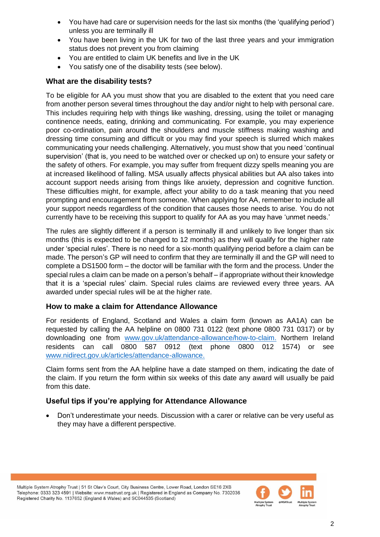- You have had care or supervision needs for the last six months (the 'qualifying period') unless you are terminally ill
- You have been living in the UK for two of the last three years and your immigration status does not prevent you from claiming
- You are entitled to claim UK benefits and live in the UK
- You satisfy one of the disability tests (see below).

## **What are the disability tests?**

To be eligible for AA you must show that you are disabled to the extent that you need care from another person several times throughout the day and/or night to help with personal care. This includes requiring help with things like washing, dressing, using the toilet or managing continence needs, eating, drinking and communicating. For example, you may experience poor co-ordination, pain around the shoulders and muscle stiffness making washing and dressing time consuming and difficult or you may find your speech is slurred which makes communicating your needs challenging. Alternatively, you must show that you need 'continual supervision' (that is, you need to be watched over or checked up on) to ensure your safety or the safety of others. For example, you may suffer from frequent dizzy spells meaning you are at increased likelihood of falling. MSA usually affects physical abilities but AA also takes into account support needs arising from things like anxiety, depression and cognitive function. These difficulties might, for example, affect your ability to do a task meaning that you need prompting and encouragement from someone. When applying for AA, remember to include all your support needs regardless of the condition that causes those needs to arise. You do not currently have to be receiving this support to qualify for AA as you may have 'unmet needs.'

The rules are slightly different if a person is terminally ill and unlikely to live longer than six months (this is expected to be changed to 12 months) as they will qualify for the higher rate under 'special rules'. There is no need for a six-month qualifying period before a claim can be made. The person's GP will need to confirm that they are terminally ill and the GP will need to complete a DS1500 form – the doctor will be familiar with the form and the process. Under the special rules a claim can be made on a person's behalf – if appropriate without their knowledge that it is a 'special rules' claim. Special rules claims are reviewed every three years. AA awarded under special rules will be at the higher rate.

#### **How to make a claim for Attendance Allowance**

For residents of England, Scotland and Wales a claim form (known as AA1A) can be requested by calling the AA helpline on 0800 731 0122 (text phone 0800 731 0317) or by downloading one from [www.gov.uk/attendance-allowance/how-to-claim.](http://www.gov.uk/attendance-allowance/how-to-claim) Northern Ireland residents can call 0800 587 0912 (text phone 0800 012 1574) or see [www.nidirect.gov.uk/articles/attendance-allowance.](http://www.nidirect.gov.uk/articles/attendance-allowance)

Claim forms sent from the AA helpline have a date stamped on them, indicating the date of the claim. If you return the form within six weeks of this date any award will usually be paid from this date.

# **Useful tips if you're applying for Attendance Allowance**

• Don't underestimate your needs. Discussion with a carer or relative can be very useful as they may have a different perspective.

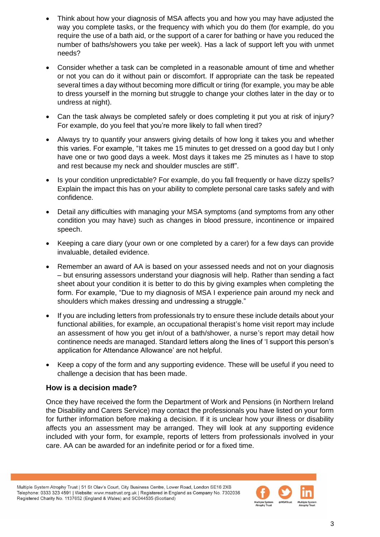- Think about how your diagnosis of MSA affects you and how you may have adjusted the way you complete tasks, or the frequency with which you do them (for example, do you require the use of a bath aid, or the support of a carer for bathing or have you reduced the number of baths/showers you take per week). Has a lack of support left you with unmet needs?
- Consider whether a task can be completed in a reasonable amount of time and whether or not you can do it without pain or discomfort. If appropriate can the task be repeated several times a day without becoming more difficult or tiring (for example, you may be able to dress yourself in the morning but struggle to change your clothes later in the day or to undress at night).
- Can the task always be completed safely or does completing it put you at risk of injury? For example, do you feel that you're more likely to fall when tired?
- Always try to quantify your answers giving details of how long it takes you and whether this varies. For example, "It takes me 15 minutes to get dressed on a good day but I only have one or two good days a week. Most days it takes me 25 minutes as I have to stop and rest because my neck and shoulder muscles are stiff".
- Is your condition unpredictable? For example, do you fall frequently or have dizzy spells? Explain the impact this has on your ability to complete personal care tasks safely and with confidence.
- Detail any difficulties with managing your MSA symptoms (and symptoms from any other condition you may have) such as changes in blood pressure, incontinence or impaired speech.
- Keeping a care diary (your own or one completed by a carer) for a few days can provide invaluable, detailed evidence.
- Remember an award of AA is based on your assessed needs and not on your diagnosis – but ensuring assessors understand your diagnosis will help. Rather than sending a fact sheet about your condition it is better to do this by giving examples when completing the form. For example, "Due to my diagnosis of MSA I experience pain around my neck and shoulders which makes dressing and undressing a struggle."
- If you are including letters from professionals try to ensure these include details about your functional abilities, for example, an occupational therapist's home visit report may include an assessment of how you get in/out of a bath/shower, a nurse's report may detail how continence needs are managed. Standard letters along the lines of 'I support this person's application for Attendance Allowance' are not helpful.
- Keep a copy of the form and any supporting evidence. These will be useful if you need to challenge a decision that has been made.

#### **How is a decision made?**

Once they have received the form the Department of Work and Pensions (in Northern Ireland the Disability and Carers Service) may contact the professionals you have listed on your form for further information before making a decision. If it is unclear how your illness or disability affects you an assessment may be arranged. They will look at any supporting evidence included with your form, for example, reports of letters from professionals involved in your care. AA can be awarded for an indefinite period or for a fixed time.

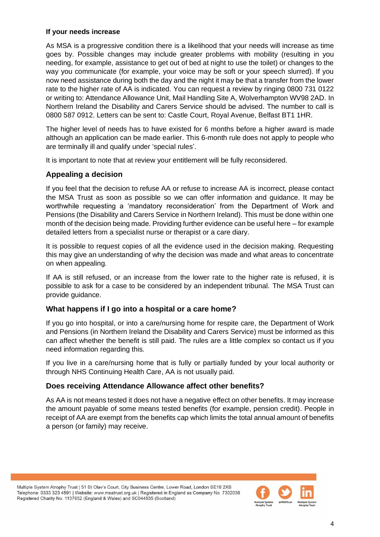#### **If your needs increase**

As MSA is a progressive condition there is a likelihood that your needs will increase as time goes by. Possible changes may include greater problems with mobility (resulting in you needing, for example, assistance to get out of bed at night to use the toilet) or changes to the way you communicate (for example, your voice may be soft or your speech slurred). If you now need assistance during both the day and the night it may be that a transfer from the lower rate to the higher rate of AA is indicated. You can request a review by ringing 0800 731 0122 or writing to: Attendance Allowance Unit, Mail Handling Site A, Wolverhampton WV98 2AD. In Northern Ireland the Disability and Carers Service should be advised. The number to call is 0800 587 0912. Letters can be sent to: Castle Court, Royal Avenue, Belfast BT1 1HR.

The higher level of needs has to have existed for 6 months before a higher award is made although an application can be made earlier. This 6-month rule does not apply to people who are terminally ill and qualify under 'special rules'.

It is important to note that at review your entitlement will be fully reconsidered.

### **Appealing a decision**

If you feel that the decision to refuse AA or refuse to increase AA is incorrect, please contact the MSA Trust as soon as possible so we can offer information and guidance. It may be worthwhile requesting a 'mandatory reconsideration' from the Department of Work and Pensions (the Disability and Carers Service in Northern Ireland). This must be done within one month of the decision being made. Providing further evidence can be useful here – for example detailed letters from a specialist nurse or therapist or a care diary.

It is possible to request copies of all the evidence used in the decision making. Requesting this may give an understanding of why the decision was made and what areas to concentrate on when appealing.

If AA is still refused, or an increase from the lower rate to the higher rate is refused, it is possible to ask for a case to be considered by an independent tribunal. The MSA Trust can provide guidance.

#### **What happens if I go into a hospital or a care home?**

If you go into hospital, or into a care/nursing home for respite care, the Department of Work and Pensions (in Northern Ireland the Disability and Carers Service) must be informed as this can affect whether the benefit is still paid. The rules are a little complex so contact us if you need information regarding this.

If you live in a care/nursing home that is fully or partially funded by your local authority or through NHS Continuing Health Care, AA is not usually paid.

#### **Does receiving Attendance Allowance affect other benefits?**

As AA is not means tested it does not have a negative effect on other benefits. It may increase the amount payable of some means tested benefits (for example, pension credit). People in receipt of AA are exempt from the benefits cap which limits the total annual amount of benefits a person (or family) may receive.